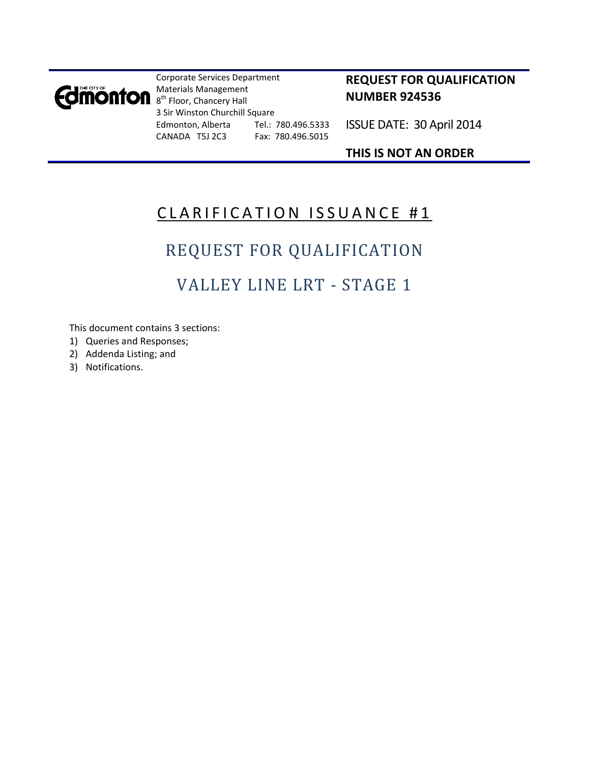

Corporate Services Department Materials Management 8<sup>th</sup> Floor, Chancery Hall 3 Sir Winston Churchill Square Edmonton, Alberta Tel.: 780.496.5333 CANADA T5J 2C3 Fax: 780.496.5015

### **REQUEST FOR QUALIFICATION NUMBER 924536**

ISSUE DATE: 30 April 2014

### **THIS IS NOT AN ORDER**

# CLARIFICATION ISSUANCE #1

# REQUEST FOR QUALIFICATION

# VALLEY LINE LRT ‐ STAGE 1

This document contains 3 sections:

- 1) Queries and Responses;
- 2) Addenda Listing; and
- 3) Notifications.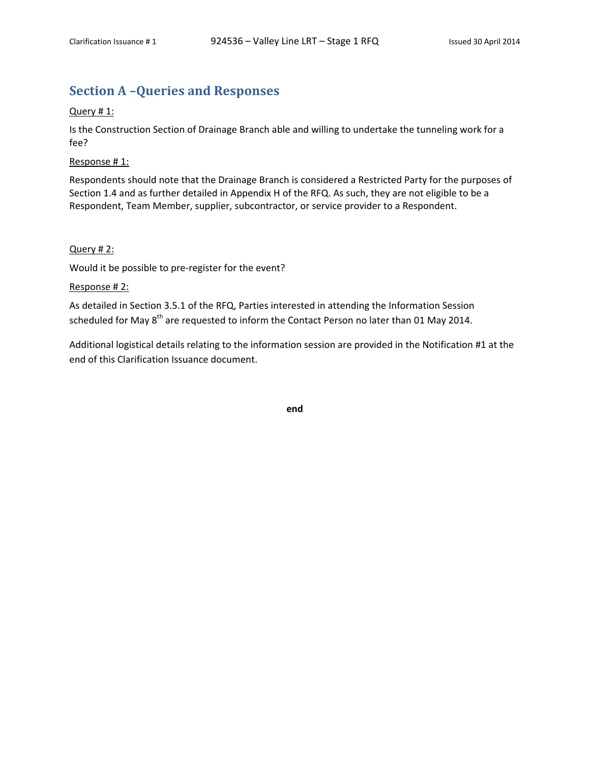### **Section A –Queries and Responses**

#### Query # 1:

Is the Construction Section of Drainage Branch able and willing to undertake the tunneling work for a fee?

Response # 1:

Respondents should note that the Drainage Branch is considered a Restricted Party for the purposes of Section 1.4 and as further detailed in Appendix H of the RFQ. As such, they are not eligible to be a Respondent, Team Member, supplier, subcontractor, or service provider to a Respondent.

#### Query # 2:

Would it be possible to pre‐register for the event?

#### Response # 2:

As detailed in Section 3.5.1 of the RFQ, Parties interested in attending the Information Session scheduled for May 8<sup>th</sup> are requested to inform the Contact Person no later than 01 May 2014.

Additional logistical details relating to the information session are provided in the Notification #1 at the end of this Clarification Issuance document.

**end**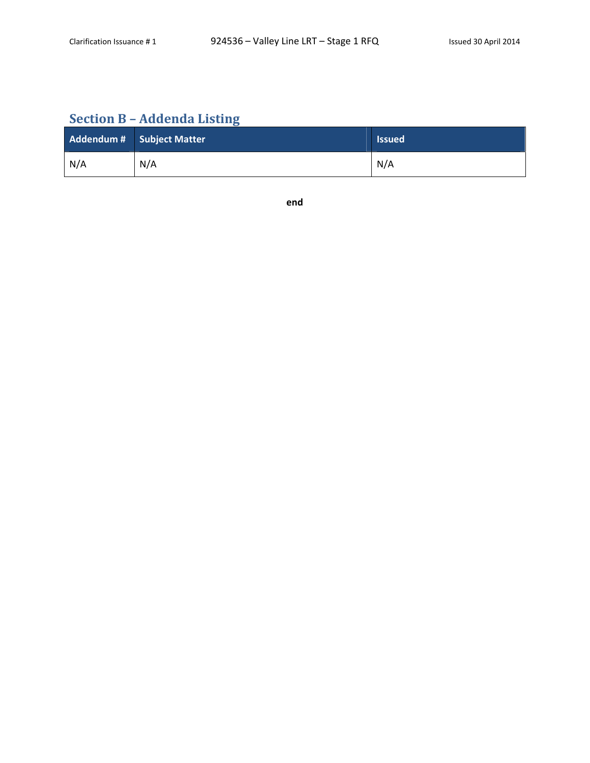## **Section B – Addenda Listing**

|     | Addendum # Subject Matter | <b>Issued</b> |
|-----|---------------------------|---------------|
| N/A | N/A                       | N/A           |

**end**